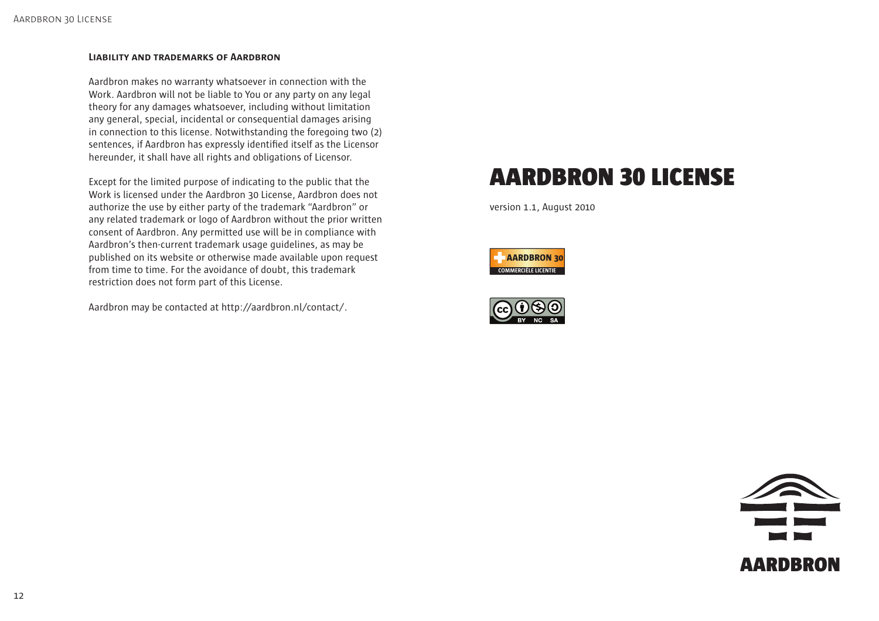#### **LIABILITY AND TRADEMARKS OF AARDBRON**

Aardbron makes no warranty whatsoever in connection with the Work. Aardbron will not be liable to You or any party on any legal theory for any damages whatsoever, including without limitation any general, special, incidental or consequential damages arising in connection to this license. Notwithstanding the foregoing two (2) sentences, if Aardbron has expressly identified itself as the Licensor hereunder, it shall have all rights and obligations of Licensor.

Except for the limited purpose of indicating to the public that the Work is licensed under the Aardbron 30 License, Aardbron does not authorize the use by either party of the trademark "Aardbron" or any related trademark or logo of Aardbron without the prior written consent of Aardbron. Any permitted use will be in compliance with Aardbron's then-current trademark usage guidelines, as may be published on its website or otherwise made available upon request from time to time. For the avoidance of doubt, this trademark restriction does not form part of this License.

Aardbron may be contacted at http://aardbron.nl/contact/.

# AARDBRON 30 LICENSE

version 1.1, August 2010





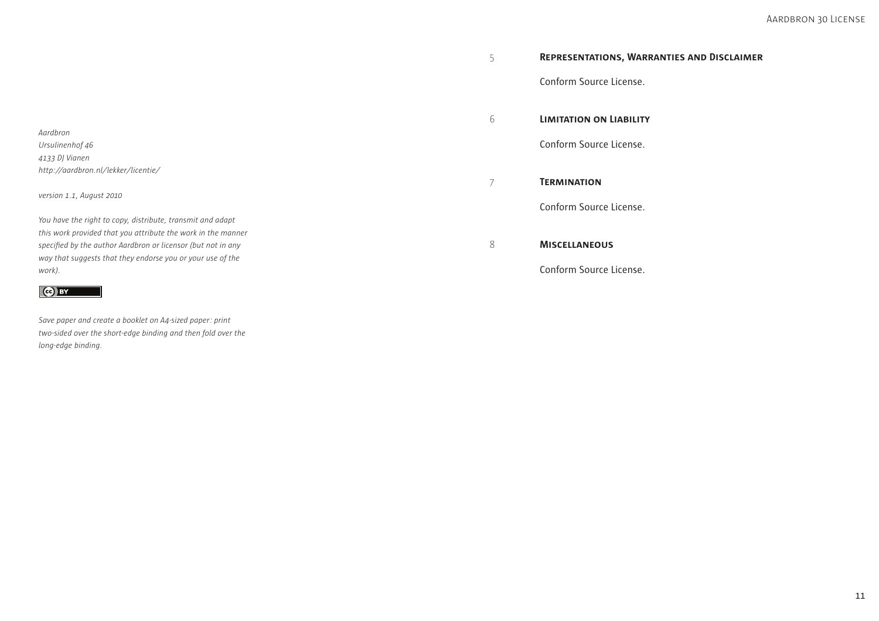Conform Source License.

6 **LIMITATION ON LIABILITY**

Conform Source License.

7 **TERMINATION**

Conform Source License.

8 **MISCELLANEOUS**

Conform Source License.

*Aardbron Ursulinenhof 46 4133 DJ Vianen http://aardbron.nl/lekker/licentie/*

*version 1.1, August 2010* 

*You have the right to copy, distribute, transmit and adapt this work provided that you attribute the work in the manner*  specified by the author Aardbron or licensor (but not in any *way that suggests that they endorse you or your use of the work).*

## $\left($ ce) BY

*Save paper and create a booklet on A4-sized paper: print two-sided over the short-edge binding and then fold over the long-edge binding.*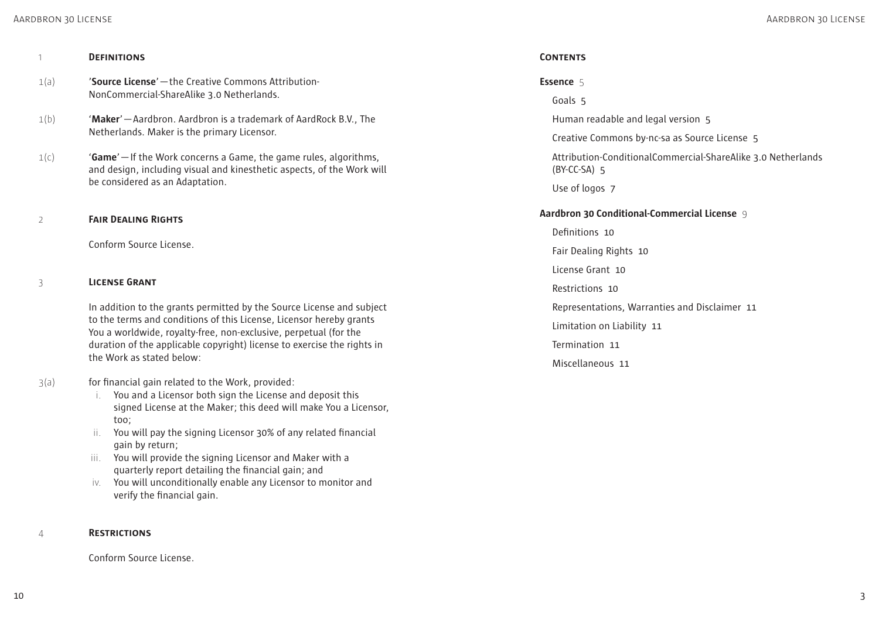### AARDBRON 30 LICENSE

| 1    | <b>DEFINITIONS</b>                                                                                                                                                                                                                                                                                                       |
|------|--------------------------------------------------------------------------------------------------------------------------------------------------------------------------------------------------------------------------------------------------------------------------------------------------------------------------|
| 1(a) | 'Source License' - the Creative Commons Attribution-<br>NonCommercial-ShareAlike 3.0 Netherlands.                                                                                                                                                                                                                        |
| 1(b) | 'Maker' - Aardbron. Aardbron is a trademark of AardRock B.V., The<br>Netherlands. Maker is the primary Licensor.                                                                                                                                                                                                         |
| 1(c) | <b>'Game'</b> - If the Work concerns a Game, the game rules, algorithms,<br>and design, including visual and kinesthetic aspects, of the Work will<br>be considered as an Adaptation.                                                                                                                                    |
| 2    | <b>FAIR DEALING RIGHTS</b>                                                                                                                                                                                                                                                                                               |
|      | Conform Source License.                                                                                                                                                                                                                                                                                                  |
| 3    | <b>LICENSE GRANT</b>                                                                                                                                                                                                                                                                                                     |
|      | In addition to the grants permitted by the Source License and subject<br>to the terms and conditions of this License, Licensor hereby grants<br>You a worldwide, royalty-free, non-exclusive, perpetual (for the<br>duration of the applicable copyright) license to exercise the rights in<br>the Work as stated below: |
| 3(a) | for financial gain related to the Work, provided:<br>You and a Licensor both sign the License and deposit this<br>signed License at the Maker; this deed will make You a Licensor,<br>too;                                                                                                                               |

- ii. You will pay the signing Licensor 30% of any related financial gain by return;
- iii. You will provide the signing Licensor and Maker with a quarterly report detailing the financial gain; and
- iv. You will unconditionally enable any Licensor to monitor and verify the financial gain.

### 4 **RESTRICTIONS**

Conform Source License.

## **CONTENTS**

# **Essence** 5

Goals 5

Human readable and legal version 5

Creative Commons by-nc-sa as Source License 5

Attribution-ConditionalCommercial-ShareAlike 3.0 Netherlands (BY-CC-SA) 5

Use of logos 7

## **Aardbron 30 Conditional-Commercial License** 9

Definitions 10 Fair Dealing Rights 10 License Grant 10 Restrictions 10 Representations, Warranties and Disclaimer 11 Limitation on Liability 11 Termination 11 Miscellaneous 11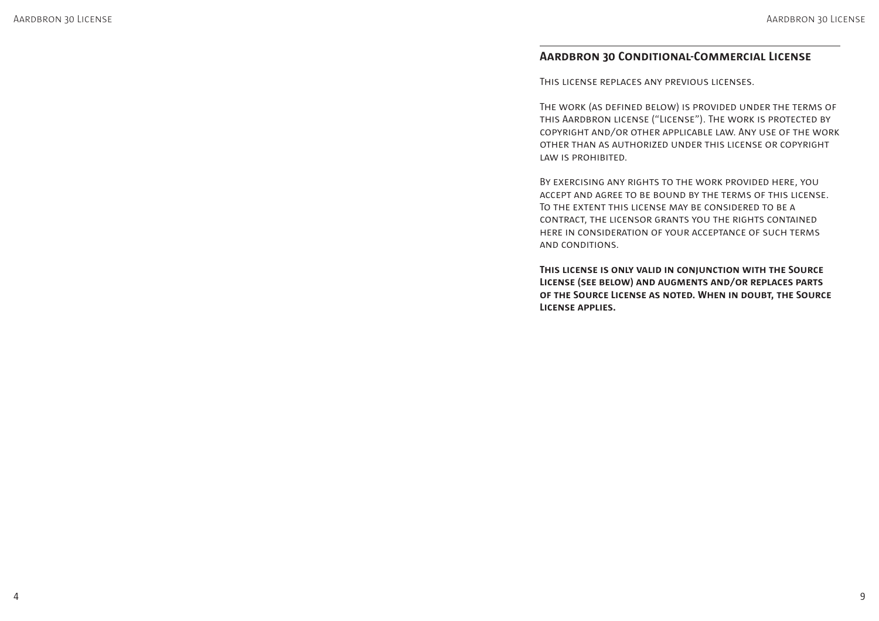# **AARDBRON 30 CONDITIONAL-COMMERCIAL LICENSE**

THIS LICENSE REPLACES ANY PREVIOUS LICENSES.

THE WORK (AS DEFINED BELOW) IS PROVIDED UNDER THE TERMS OF THIS AARDBRON LICENSE ("LICENSE"). THE WORK IS PROTECTED BY COPYRIGHT AND/OR OTHER APPLICABLE LAW. ANY USE OF THE WORK OTHER THAN AS AUTHORIZED UNDER THIS LICENSE OR COPYRIGHT LAW IS PROHIBITED.

BY EXERCISING ANY RIGHTS TO THE WORK PROVIDED HERE, YOU ACCEPT AND AGREE TO BE BOUND BY THE TERMS OF THIS LICENSE. TO THE EXTENT THIS LICENSE MAY BE CONSIDERED TO BE A CONTRACT, THE LICENSOR GRANTS YOU THE RIGHTS CONTAINED HERE IN CONSIDERATION OF YOUR ACCEPTANCE OF SUCH TERMS AND CONDITIONS.

**THIS LICENSE IS ONLY VALID IN CONJUNCTION WITH THE SOURCE LICENSE (SEE BELOW) AND AUGMENTS AND/OR REPLACES PARTS OF THE SOURCE LICENSE AS NOTED. WHEN IN DOUBT, THE SOURCE LICENSE APPLIES.**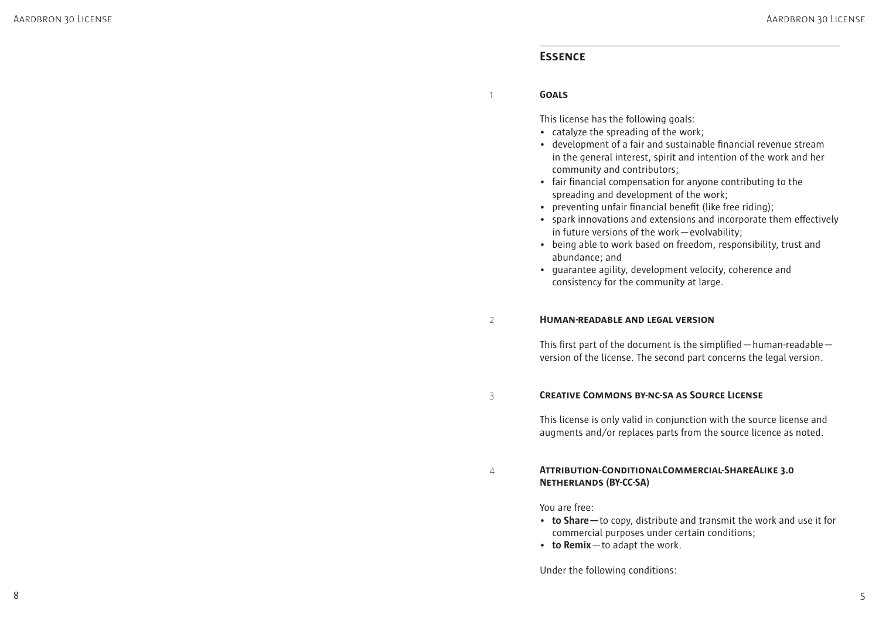# **ESSENCE**

#### 1 **GOALS**

This license has the following goals:

- catalyze the spreading of the work;
- development of a fair and sustainable financial revenue stream in the general interest, spirit and intention of the work and her community and contributors;
- fair financial compensation for anyone contributing to the spreading and development of the work;
- preventing unfair financial benefit (like free riding);
- spark innovations and extensions and incorporate them effectively in future versions of the work—evolvability;
- being able to work based on freedom, responsibility, trust and abundance; and
- guarantee agility, development velocity, coherence and consistency for the community at large.

#### 2 **HUMAN-READABLE AND LEGAL VERSION**

This first part of the document is the simplified  $-$  human-readable  $$ version of the license. The second part concerns the legal version.

#### 3 **CREATIVE COMMONS BY-NC-SA AS SOURCE LICENSE**

This license is only valid in conjunction with the source license and augments and/or replaces parts from the source licence as noted.

## 4 **ATTRIBUTION-CONDITIONALCOMMERCIAL-SHAREALIKE 3.0 NETHERLANDS (BY-CC-SA)**

You are free:

- **to Share—**to copy, distribute and transmit the work and use it for commercial purposes under certain conditions;
- **to Remix**—to adapt the work.

Under the following conditions: